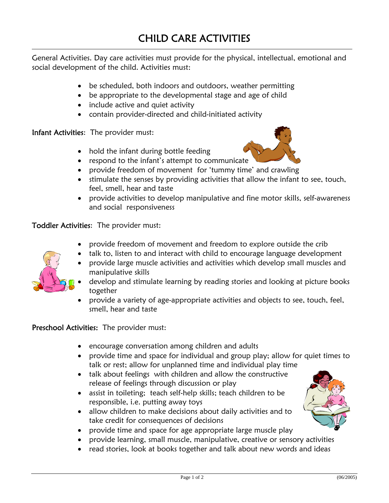General Activities. Day care activities must provide for the physical, intellectual, emotional and social development of the child. Activities must:

- be scheduled, both indoors and outdoors, weather permitting
- be appropriate to the developmental stage and age of child
- include active and quiet activity
- contain provider-directed and child-initiated activity

Infant Activities: The provider must:

- hold the infant during bottle feeding
- respond to the infant's attempt to communicate
- provide freedom of movement for 'tummy time' and crawling
- stimulate the senses by providing activities that allow the infant to see, touch, feel, smell, hear and taste
- provide activities to develop manipulative and fine motor skills, self-awareness and social responsiveness

Toddler Activities: The provider must:

- provide freedom of movement and freedom to explore outside the crib
- talk to, listen to and interact with child to encourage language development



- 
- develop and stimulate learning by reading stories and looking at picture books together
- provide a variety of age-appropriate activities and objects to see, touch, feel, smell, hear and taste

Preschool Activities: The provider must:

- encourage conversation among children and adults
- provide time and space for individual and group play; allow for quiet times to talk or rest; allow for unplanned time and individual play time
- talk about feelings with children and allow the constructive release of feelings through discussion or play
- assist in toileting; teach self-help skills; teach children to be responsible, i.e. putting away toys
- allow children to make decisions about daily activities and to take credit for consequences of decisions
- provide time and space for age appropriate large muscle play
- provide learning, small muscle, manipulative, creative or sensory activities
- read stories, look at books together and talk about new words and ideas